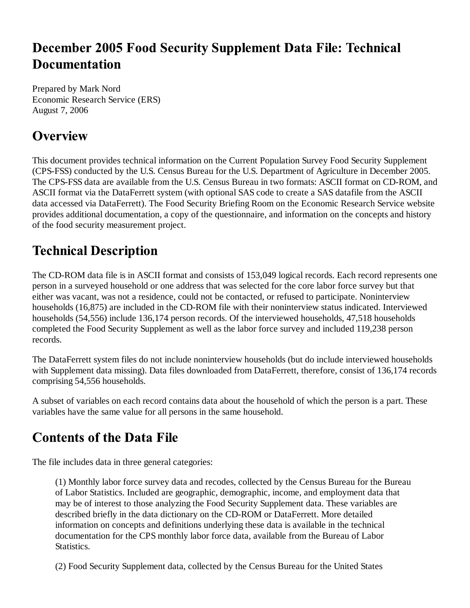# **December 2005 Food Security Supplement Data File: Technical Documentation**

Prepared by Mark Nord Economic Research Service (ERS) August 7, 2006

# **Overview**

This document provides technical information on the Current Population Survey Food Security Supplement (CPS-FSS) conducted by the U.S. Census Bureau for the U.S. Department of Agriculture in December 2005. The CPS-FSS data are available from the U.S. Census Bureau in two formats: ASCII format on CD-ROM, and ASCII format via the DataFerrett system (with optional SAS code to create a SAS datafile from the ASCII data accessed via DataFerrett). The Food Security Briefing Room on the Economic Research Service website provides additional documentation, a copy of the questionnaire, and information on the concepts and history of the food security measurement project.

# **Technical Description**

The CD-ROM data file is in ASCII format and consists of 153,049 logical records. Each record represents one person in a surveyed household or one address that was selected for the core labor force survey but that either was vacant, was not a residence, could not be contacted, or refused to participate. Noninterview households (16,875) are included in the CD-ROM file with their noninterview status indicated. Interviewed households (54,556) include 136,174 person records. Of the interviewed households, 47,518 households completed the Food Security Supplement as well as the labor force survey and included 119,238 person records.

The DataFerrett system files do not include noninterview households (but do include interviewed households with Supplement data missing). Data files downloaded from DataFerrett, therefore, consist of 136,174 records comprising 54,556 households.

A subset of variables on each record contains data about the household of which the person is a part. These variables have the same value for all persons in the same household.

# **Contents of the Data File**

The file includes data in three general categories:

(1) Monthly labor force survey data and recodes, collected by the Census Bureau for the Bureau of Labor Statistics. Included are geographic, demographic, income, and employment data that may be of interest to those analyzing the Food Security Supplement data. These variables are described briefly in the data dictionary on the CD-ROM or DataFerrett. More detailed information on concepts and definitions underlying these data is available in the technical documentation for the CPS monthly labor force data, available from the Bureau of Labor **Statistics.** 

(2) Food Security Supplement data, collected by the Census Bureau for the United States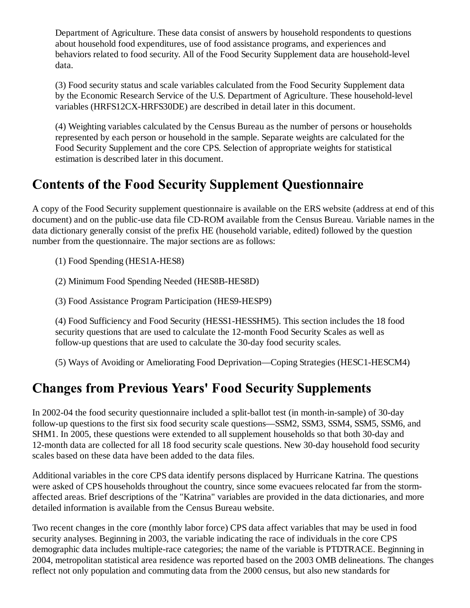Department of Agriculture. These data consist of answers by household respondents to questions about household food expenditures, use of food assistance programs, and experiences and behaviors related to food security. All of the Food Security Supplement data are household-level data.

(3) Food security status and scale variables calculated from the Food Security Supplement data by the Economic Research Service of the U.S. Department of Agriculture. These household-level variables (HRFS12CX-HRFS30DE) are described in detail later in this document.

(4) Weighting variables calculated by the Census Bureau as the number of persons or households represented by each person or household in the sample. Separate weights are calculated for the Food Security Supplement and the core CPS. Selection of appropriate weights for statistical estimation is described later in this document.

### **Contents of the Food Security Supplement Questionnaire**

A copy of the Food Security supplement questionnaire is available on the ERS website (address at end of this document) and on the public-use data file CD-ROM available from the Census Bureau. Variable names in the data dictionary generally consist of the prefix HE (household variable, edited) followed by the question number from the questionnaire. The major sections are as follows:

(1) Food Spending (HES1A-HES8)

(2) Minimum Food Spending Needed (HES8B-HES8D)

(3) Food Assistance Program Participation (HES9-HESP9)

(4) Food Sufficiency and Food Security (HESS1-HESSHM5). This section includes the 18 food security questions that are used to calculate the 12-month Food Security Scales as well as follow-up questions that are used to calculate the 30-day food security scales.

(5) Ways of Avoiding or Ameliorating Food Deprivation—Coping Strategies (HESC1-HESCM4)

#### **Changes from Previous Years' Food Security Supplements**

In 2002-04 the food security questionnaire included a split-ballot test (in month-in-sample) of 30-day follow-up questions to the first six food security scale questions—SSM2, SSM3, SSM4, SSM5, SSM6, and SHM1. In 2005, these questions were extended to all supplement households so that both 30-day and 12-month data are collected for all 18 food security scale questions. New 30-day household food security scales based on these data have been added to the data files.

Additional variables in the core CPS data identify persons displaced by Hurricane Katrina. The questions were asked of CPS households throughout the country, since some evacuees relocated far from the stormaffected areas. Brief descriptions of the "Katrina" variables are provided in the data dictionaries, and more detailed information is available from the Census Bureau website.

Two recent changes in the core (monthly labor force) CPS data affect variables that may be used in food security analyses. Beginning in 2003, the variable indicating the race of individuals in the core CPS demographic data includes multiple-race categories; the name of the variable is PTDTRACE. Beginning in 2004, metropolitan statistical area residence was reported based on the 2003 OMB delineations. The changes reflect not only population and commuting data from the 2000 census, but also new standards for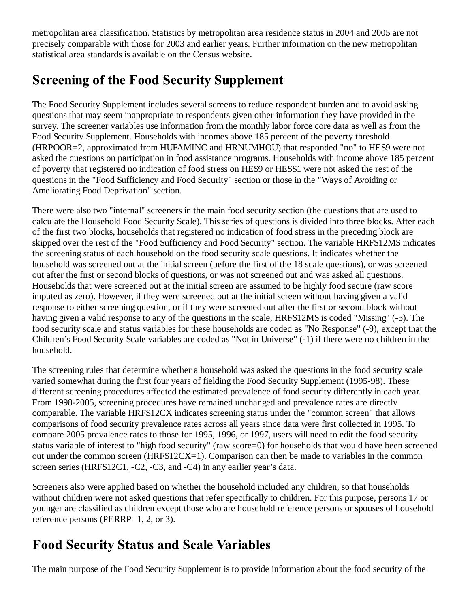metropolitan area classification. Statistics by metropolitan area residence status in 2004 and 2005 are not precisely comparable with those for 2003 and earlier years. Further information on the new metropolitan statistical area standards is available on the Census website.

# **Screening of the Food Security Supplement**

The Food Security Supplement includes several screens to reduce respondent burden and to avoid asking questions that may seem inappropriate to respondents given other information they have provided in the survey. The screener variables use information from the monthly labor force core data as well as from the Food Security Supplement. Households with incomes above 185 percent of the poverty threshold (HRPOOR=2, approximated from HUFAMINC and HRNUMHOU) that responded "no" to HES9 were not asked the questions on participation in food assistance programs. Households with income above 185 percent of poverty that registered no indication of food stress on HES9 or HESS1 were not asked the rest of the questions in the "Food Sufficiency and Food Security" section or those in the "Ways of Avoiding or Ameliorating Food Deprivation" section.

There were also two "internal" screeners in the main food security section (the questions that are used to calculate the Household Food Security Scale). This series of questions is divided into three blocks. After each of the first two blocks, households that registered no indication of food stress in the preceding block are skipped over the rest of the "Food Sufficiency and Food Security" section. The variable HRFS12MS indicates the screening status of each household on the food security scale questions. It indicates whether the household was screened out at the initial screen (before the first of the 18 scale questions), or was screened out after the first or second blocks of questions, or was not screened out and was asked all questions. Households that were screened out at the initial screen are assumed to be highly food secure (raw score imputed as zero). However, if they were screened out at the initial screen without having given a valid response to either screening question, or if they were screened out after the first or second block without having given a valid response to any of the questions in the scale, HRFS12MS is coded "Missing" (-5). The food security scale and status variables for these households are coded as "No Response" (-9), except that the Children's Food Security Scale variables are coded as "Not in Universe" (-1) if there were no children in the household.

The screening rules that determine whether a household was asked the questions in the food security scale varied somewhat during the first four years of fielding the Food Security Supplement (1995-98). These different screening procedures affected the estimated prevalence of food security differently in each year. From 1998-2005, screening procedures have remained unchanged and prevalence rates are directly comparable. The variable HRFS12CX indicates screening status under the "common screen" that allows comparisons of food security prevalence rates across all years since data were first collected in 1995. To compare 2005 prevalence rates to those for 1995, 1996, or 1997, users will need to edit the food security status variable of interest to "high food security" (raw score=0) for households that would have been screened out under the common screen (HRFS12CX=1). Comparison can then be made to variables in the common screen series (HRFS12C1, -C2, -C3, and -C4) in any earlier year's data.

Screeners also were applied based on whether the household included any children, so that households without children were not asked questions that refer specifically to children. For this purpose, persons 17 or younger are classified as children except those who are household reference persons or spouses of household reference persons (PERRP=1, 2, or 3).

# **Food Security Status and Scale Variables**

The main purpose of the Food Security Supplement is to provide information about the food security of the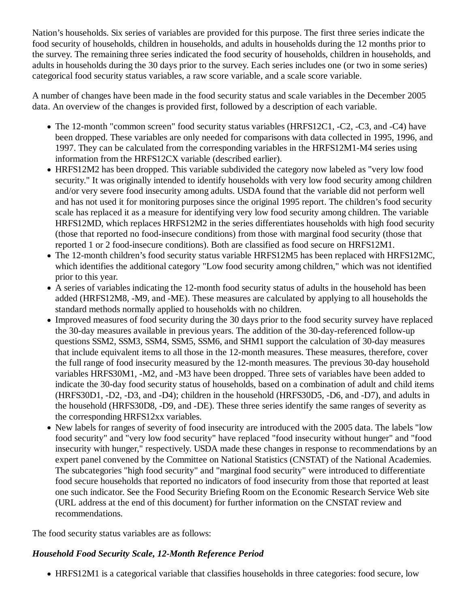Nation's households. Six series of variables are provided for this purpose. The first three series indicate the food security of households, children in households, and adults in households during the 12 months prior to the survey. The remaining three series indicated the food security of households, children in households, and adults in households during the 30 days prior to the survey. Each series includes one (or two in some series) categorical food security status variables, a raw score variable, and a scale score variable.

A number of changes have been made in the food security status and scale variables in the December 2005 data. An overview of the changes is provided first, followed by a description of each variable.

- The 12-month "common screen" food security status variables (HRFS12C1, -C2, -C3, and -C4) have been dropped. These variables are only needed for comparisons with data collected in 1995, 1996, and 1997. They can be calculated from the corresponding variables in the HRFS12M1-M4 series using information from the HRFS12CX variable (described earlier).
- HRFS12M2 has been dropped. This variable subdivided the category now labeled as "very low food security." It was originally intended to identify households with very low food security among children and/or very severe food insecurity among adults. USDA found that the variable did not perform well and has not used it for monitoring purposes since the original 1995 report. The children's food security scale has replaced it as a measure for identifying very low food security among children. The variable HRFS12MD, which replaces HRFS12M2 in the series differentiates households with high food security (those that reported no food-insecure conditions) from those with marginal food security (those that reported 1 or 2 food-insecure conditions). Both are classified as food secure on HRFS12M1.
- The 12-month children's food security status variable HRFS12M5 has been replaced with HRFS12MC, which identifies the additional category "Low food security among children," which was not identified prior to this year.
- A series of variables indicating the 12-month food security status of adults in the household has been added (HRFS12M8, -M9, and -ME). These measures are calculated by applying to all households the standard methods normally applied to households with no children.
- Improved measures of food security during the 30 days prior to the food security survey have replaced the 30-day measures available in previous years. The addition of the 30-day-referenced follow-up questions SSM2, SSM3, SSM4, SSM5, SSM6, and SHM1 support the calculation of 30-day measures that include equivalent items to all those in the 12-month measures. These measures, therefore, cover the full range of food insecurity measured by the 12-month measures. The previous 30-day household variables HRFS30M1, -M2, and -M3 have been dropped. Three sets of variables have been added to indicate the 30-day food security status of households, based on a combination of adult and child items (HRFS30D1, -D2, -D3, and -D4); children in the household (HRFS30D5, -D6, and -D7), and adults in the household (HRFS30D8, -D9, and -DE). These three series identify the same ranges of severity as the corresponding HRFS12xx variables.
- New labels for ranges of severity of food insecurity are introduced with the 2005 data. The labels "low food security" and "very low food security" have replaced "food insecurity without hunger" and "food insecurity with hunger," respectively. USDA made these changes in response to recommendations by an expert panel convened by the Committee on National Statistics (CNSTAT) of the National Academies. The subcategories "high food security" and "marginal food security" were introduced to differentiate food secure households that reported no indicators of food insecurity from those that reported at least one such indicator. See the Food Security Briefing Room on the Economic Research Service Web site (URL address at the end of this document) for further information on the CNSTAT review and recommendations.

The food security status variables are as follows:

#### *Household Food Security Scale, 12-Month Reference Period*

HRFS12M1 is a categorical variable that classifies households in three categories: food secure, low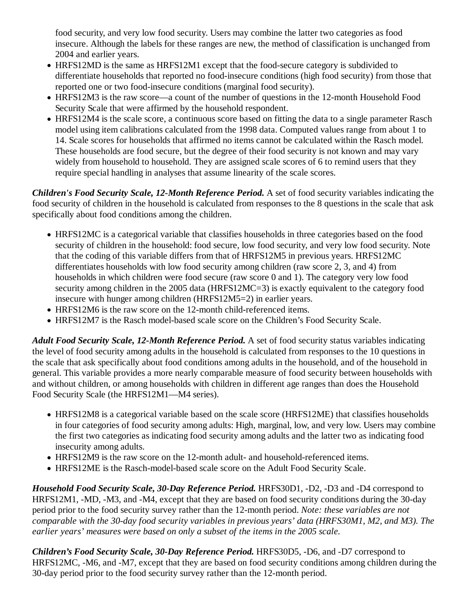food security, and very low food security. Users may combine the latter two categories as food insecure. Although the labels for these ranges are new, the method of classification is unchanged from 2004 and earlier years.

- HRFS12MD is the same as HRFS12M1 except that the food-secure category is subdivided to differentiate households that reported no food-insecure conditions (high food security) from those that reported one or two food-insecure conditions (marginal food security).
- HRFS12M3 is the raw score—a count of the number of questions in the 12-month Household Food Security Scale that were affirmed by the household respondent.
- HRFS12M4 is the scale score, a continuous score based on fitting the data to a single parameter Rasch model using item calibrations calculated from the 1998 data. Computed values range from about 1 to 14. Scale scores for households that affirmed no items cannot be calculated within the Rasch model. These households are food secure, but the degree of their food security is not known and may vary widely from household to household. They are assigned scale scores of 6 to remind users that they require special handling in analyses that assume linearity of the scale scores.

*Children's Food Security Scale, 12-Month Reference Period.* A set of food security variables indicating the food security of children in the household is calculated from responses to the 8 questions in the scale that ask specifically about food conditions among the children.

- HRFS12MC is a categorical variable that classifies households in three categories based on the food security of children in the household: food secure, low food security, and very low food security. Note that the coding of this variable differs from that of HRFS12M5 in previous years. HRFS12MC differentiates households with low food security among children (raw score 2, 3, and 4) from households in which children were food secure (raw score 0 and 1). The category very low food security among children in the 2005 data (HRFS12MC=3) is exactly equivalent to the category food insecure with hunger among children (HRFS12M5=2) in earlier years.
- HRFS12M6 is the raw score on the 12-month child-referenced items.
- HRFS12M7 is the Rasch model-based scale score on the Children's Food Security Scale.

*Adult Food Security Scale, 12-Month Reference Period.* A set of food security status variables indicating the level of food security among adults in the household is calculated from responses to the 10 questions in the scale that ask specifically about food conditions among adults in the household, and of the household in general. This variable provides a more nearly comparable measure of food security between households with and without children, or among households with children in different age ranges than does the Household Food Security Scale (the HRFS12M1—M4 series).

- HRFS12M8 is a categorical variable based on the scale score (HRFS12ME) that classifies households in four categories of food security among adults: High, marginal, low, and very low. Users may combine the first two categories as indicating food security among adults and the latter two as indicating food insecurity among adults.
- HRFS12M9 is the raw score on the 12-month adult- and household-referenced items.
- HRFS12ME is the Rasch-model-based scale score on the Adult Food Security Scale.

*Household Food Security Scale, 30-Day Reference Period.* HRFS30D1, -D2, -D3 and -D4 correspond to HRFS12M1, -MD, -M3, and -M4, except that they are based on food security conditions during the 30-day period prior to the food security survey rather than the 12-month period. *Note: these variables are not comparable with the 30-day food security variables in previous years' data (HRFS30M1, M2, and M3). The earlier years' measures were based on only a subset of the items in the 2005 scale.*

*Children's Food Security Scale, 30-Day Reference Period.* HRFS30D5, -D6, and -D7 correspond to HRFS12MC, -M6, and -M7, except that they are based on food security conditions among children during the 30-day period prior to the food security survey rather than the 12-month period.